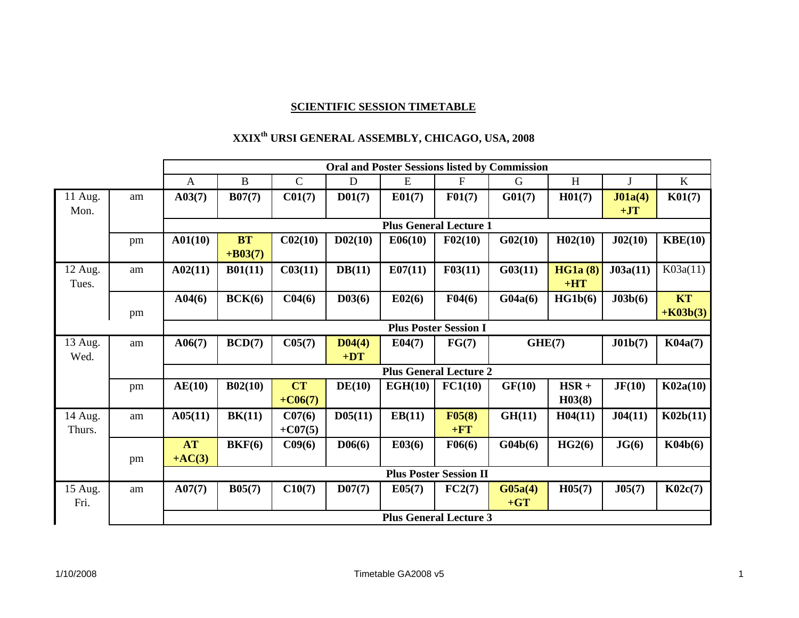## **SCIENTIFIC SESSION TIMETABLE**

## **XXIXth URSI GENERAL ASSEMBLY, CHICAGO, USA, 2008**

|         |    | <b>Oral and Poster Sessions listed by Commission</b> |            |                               |                     |         |                               |         |                    |             |            |  |
|---------|----|------------------------------------------------------|------------|-------------------------------|---------------------|---------|-------------------------------|---------|--------------------|-------------|------------|--|
|         |    | $\mathbf{A}$                                         | $\bf{B}$   | $\mathbf C$                   | $\mathbf D$         | E       | $\boldsymbol{\mathrm{F}}$     | G       | H                  | $\mathbf J$ | $\bf K$    |  |
| 11 Aug. | am | A03(7)                                               | B07(7)     | C <sub>01(7)</sub>            | D <sub>01(7)</sub>  | E01(7)  | F01(7)                        | G01(7)  | H <sub>01(7)</sub> | J01a(4)     | K01(7)     |  |
| Mon.    |    |                                                      |            |                               |                     |         |                               |         |                    | $+JT$       |            |  |
|         |    |                                                      |            |                               |                     |         | <b>Plus General Lecture 1</b> |         |                    |             |            |  |
|         | pm | A01(10)                                              | <b>BT</b>  | C <sub>02(10)</sub>           | D <sub>02(10)</sub> | E06(10) | F02(10)                       | G02(10) | H02(10)            | J02(10)     | KBE(10)    |  |
|         |    |                                                      | $+ B03(7)$ |                               |                     |         |                               |         |                    |             |            |  |
| 12 Aug. | am | A02(11)                                              | B01(11)    | C03(11)                       | DB(11)              | E07(11) | F03(11)                       | G03(11) | HG1a(8)            | J03a(11)    | K03a(11)   |  |
| Tues.   |    |                                                      |            |                               |                     |         |                               |         | $+HT$              |             |            |  |
|         |    | A04(6)                                               | BCK(6)     | C <sub>04(6)</sub>            | D <sub>03(6)</sub>  | E02(6)  | F04(6)                        | G04a(6) | HG1b(6)            | J03b(6)     | KT         |  |
|         | pm |                                                      |            |                               |                     |         |                               |         |                    |             | $+K03b(3)$ |  |
|         |    | <b>Plus Poster Session I</b>                         |            |                               |                     |         |                               |         |                    |             |            |  |
| 13 Aug. | am | A06(7)                                               | BCD(7)     | C05(7)                        | D <sub>04(4)</sub>  | E04(7)  | FG(7)                         | GHE(7)  |                    | J01b(7)     | K04a(7)    |  |
| Wed.    |    |                                                      |            |                               | $+DT$               |         |                               |         |                    |             |            |  |
|         |    |                                                      |            |                               |                     |         | <b>Plus General Lecture 2</b> |         |                    |             |            |  |
|         | pm | AE(10)                                               | B02(10)    | <b>CT</b>                     | DE(10)              | EGH(10) | FC1(10)                       | GF(10)  | $HSR +$            | JF(10)      | K02a(10)   |  |
|         |    |                                                      |            | $+CO6(7)$                     |                     |         |                               |         | H03(8)             |             |            |  |
| 14 Aug. | am | A05(11)                                              | BK(11)     | C07(6)                        | D05(11)             | EB(11)  | F05(8)                        | GH(11)  | H04(11)            | J04(11)     | K02b(11)   |  |
| Thurs.  |    |                                                      |            | $+CO7(5)$                     |                     |         | $+FT$                         |         |                    |             |            |  |
|         |    | <b>AT</b>                                            | BKF(6)     | C09(6)                        | D06(6)              | E03(6)  | F06(6)                        | G04b(6) | HG2(6)             | JG(6)       | K04b(6)    |  |
|         | pm | $+AC(3)$                                             |            |                               |                     |         |                               |         |                    |             |            |  |
|         |    | <b>Plus Poster Session II</b>                        |            |                               |                     |         |                               |         |                    |             |            |  |
| 15 Aug. | am | A07(7)                                               | B05(7)     | C10(7)                        | D07(7)              | E05(7)  | FC2(7)                        | G05a(4) | H05(7)             | J05(7)      | K02c(7)    |  |
| Fri.    |    |                                                      |            |                               |                     |         |                               | $+GT$   |                    |             |            |  |
|         |    |                                                      |            | <b>Plus General Lecture 3</b> |                     |         |                               |         |                    |             |            |  |